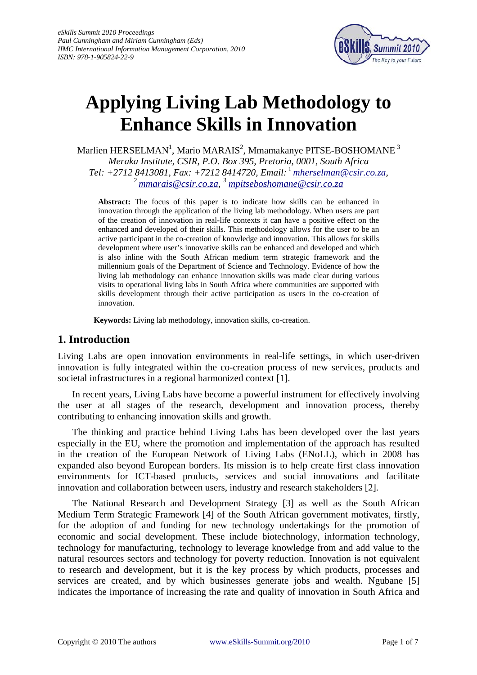

# **Applying Living Lab Methodology to Enhance Skills in Innovation**

Marlien HERSELMAN<sup>1</sup>, Mario MARAIS<sup>2</sup>, Mmamakanye PITSE-BOSHOMANE  $^3$ *Meraka Institute, CSIR, P.O. Box 395, Pretoria, 0001, South Africa Tel: +2712 8413081, Fax: +7212 8414720, Email:*<sup>1</sup>*[mherselman@csir.co.za](mailto:mherselman@csir.co.za),* 2 *[mmarais@csir.co.za](mailto:mmarais@csir.co.za), 3 [mpitseboshomane@csir.co.za](mailto:mpitseboshomane@csir.co.za)* 

**Abstract:** The focus of this paper is to indicate how skills can be enhanced in innovation through the application of the living lab methodology. When users are part of the creation of innovation in real-life contexts it can have a positive effect on the enhanced and developed of their skills. This methodology allows for the user to be an active participant in the co-creation of knowledge and innovation. This allows for skills development where user's innovative skills can be enhanced and developed and which is also inline with the South African medium term strategic framework and the millennium goals of the Department of Science and Technology. Evidence of how the living lab methodology can enhance innovation skills was made clear during various visits to operational living labs in South Africa where communities are supported with skills development through their active participation as users in the co-creation of innovation.

**Keywords:** Living lab methodology, innovation skills, co-creation.

### **1. Introduction**

Living Labs are open innovation environments in real-life settings, in which user-driven innovation is fully integrated within the co-creation process of new services, products and societal infrastructures in a regional harmonized context [1].

In recent years, Living Labs have become a powerful instrument for effectively involving the user at all stages of the research, development and innovation process, thereby contributing to enhancing innovation skills and growth.

The thinking and practice behind Living Labs has been developed over the last years especially in the EU, where the promotion and implementation of the approach has resulted in the creation of the European Network of Living Labs (ENoLL), which in 2008 has expanded also beyond European borders. Its mission is to help create first class innovation environments for ICT-based products, services and social innovations and facilitate innovation and collaboration between users, industry and research stakeholders [2].

The National Research and Development Strategy [3] as well as the South African Medium Term Strategic Framework [4] of the South African government motivates, firstly, for the adoption of and funding for new technology undertakings for the promotion of economic and social development. These include biotechnology, information technology, technology for manufacturing, technology to leverage knowledge from and add value to the natural resources sectors and technology for poverty reduction. Innovation is not equivalent to research and development, but it is the key process by which products, processes and services are created, and by which businesses generate jobs and wealth. Ngubane [5] indicates the importance of increasing the rate and quality of innovation in South Africa and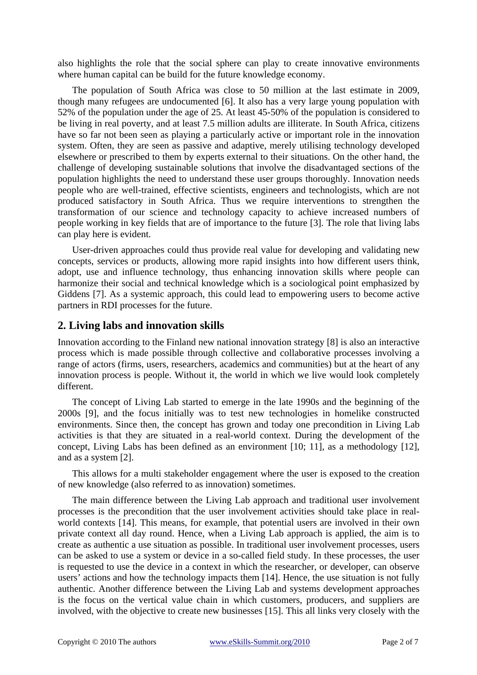also highlights the role that the social sphere can play to create innovative environments where human capital can be build for the future knowledge economy.

The population of South Africa was close to 50 million at the last estimate in 2009, though many refugees are undocumented [6]. It also has a very large young population with 52% of the population under the age of 25. At least 45-50% of the population is considered to be living in real poverty, and at least 7.5 million adults are illiterate. In South Africa, citizens have so far not been seen as playing a particularly active or important role in the innovation system. Often, they are seen as passive and adaptive, merely utilising technology developed elsewhere or prescribed to them by experts external to their situations. On the other hand, the challenge of developing sustainable solutions that involve the disadvantaged sections of the population highlights the need to understand these user groups thoroughly. Innovation needs people who are well-trained, effective scientists, engineers and technologists, which are not produced satisfactory in South Africa. Thus we require interventions to strengthen the transformation of our science and technology capacity to achieve increased numbers of people working in key fields that are of importance to the future [3]. The role that living labs can play here is evident.

User-driven approaches could thus provide real value for developing and validating new concepts, services or products, allowing more rapid insights into how different users think, adopt, use and influence technology, thus enhancing innovation skills where people can harmonize their social and technical knowledge which is a sociological point emphasized by Giddens [7]. As a systemic approach, this could lead to empowering users to become active partners in RDI processes for the future.

#### **2. Living labs and innovation skills**

Innovation according to the Finland new national innovation strategy [8] is also an interactive process which is made possible through collective and collaborative processes involving a range of actors (firms, users, researchers, academics and communities) but at the heart of any innovation process is people. Without it, the world in which we live would look completely different.

The concept of Living Lab started to emerge in the late 1990s and the beginning of the 2000s [9], and the focus initially was to test new technologies in homelike constructed environments. Since then, the concept has grown and today one precondition in Living Lab activities is that they are situated in a real-world context. During the development of the concept, Living Labs has been defined as an environment [10; 11], as a methodology [12], and as a system [2].

This allows for a multi stakeholder engagement where the user is exposed to the creation of new knowledge (also referred to as innovation) sometimes.

The main difference between the Living Lab approach and traditional user involvement processes is the precondition that the user involvement activities should take place in realworld contexts [14]. This means, for example, that potential users are involved in their own private context all day round. Hence, when a Living Lab approach is applied, the aim is to create as authentic a use situation as possible. In traditional user involvement processes, users can be asked to use a system or device in a so-called field study. In these processes, the user is requested to use the device in a context in which the researcher, or developer, can observe users' actions and how the technology impacts them [14]. Hence, the use situation is not fully authentic. Another difference between the Living Lab and systems development approaches is the focus on the vertical value chain in which customers, producers, and suppliers are involved, with the objective to create new businesses [15]. This all links very closely with the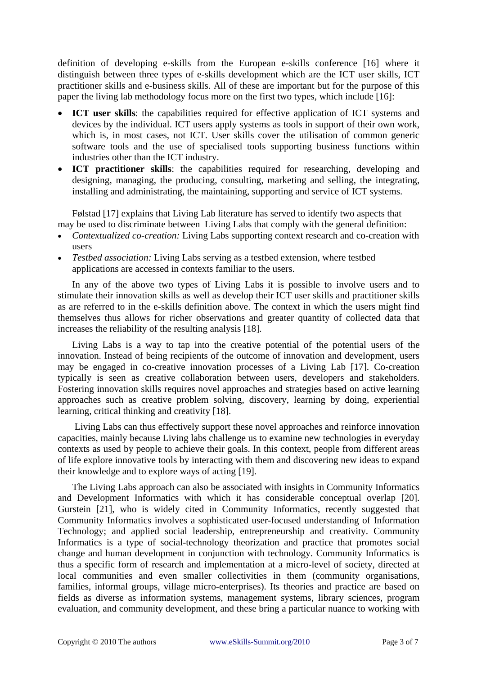definition of developing e-skills from the European e-skills conference [16] where it distinguish between three types of e-skills development which are the ICT user skills, ICT practitioner skills and e-business skills. All of these are important but for the purpose of this paper the living lab methodology focus more on the first two types, which include [16]:

- **ICT user skills**: the capabilities required for effective application of ICT systems and devices by the individual. ICT users apply systems as tools in support of their own work, which is, in most cases, not ICT. User skills cover the utilisation of common generic software tools and the use of specialised tools supporting business functions within industries other than the ICT industry.
- **ICT practitioner skills**: the capabilities required for researching, developing and designing, managing, the producing, consulting, marketing and selling, the integrating, installing and administrating, the maintaining, supporting and service of ICT systems.

Følstad [17] explains that Living Lab literature has served to identify two aspects that may be used to discriminate between Living Labs that comply with the general definition:

- *Contextualized co-creation:* Living Labs supporting context research and co-creation with users
- *Testbed association:* Living Labs serving as a testbed extension, where testbed applications are accessed in contexts familiar to the users.

In any of the above two types of Living Labs it is possible to involve users and to stimulate their innovation skills as well as develop their ICT user skills and practitioner skills as are referred to in the e-skills definition above. The context in which the users might find themselves thus allows for richer observations and greater quantity of collected data that increases the reliability of the resulting analysis [18].

Living Labs is a way to tap into the creative potential of the potential users of the innovation. Instead of being recipients of the outcome of innovation and development, users may be engaged in co-creative innovation processes of a Living Lab [17]. Co-creation typically is seen as creative collaboration between users, developers and stakeholders. Fostering innovation skills requires novel approaches and strategies based on active learning approaches such as creative problem solving, discovery, learning by doing, experiential learning, critical thinking and creativity [18].

 Living Labs can thus effectively support these novel approaches and reinforce innovation capacities, mainly because Living labs challenge us to examine new technologies in everyday contexts as used by people to achieve their goals. In this context, people from different areas of life explore innovative tools by interacting with them and discovering new ideas to expand their knowledge and to explore ways of acting [19].

The Living Labs approach can also be associated with insights in Community Informatics and Development Informatics with which it has considerable conceptual overlap [20]. Gurstein [21], who is widely cited in Community Informatics, recently suggested that Community Informatics involves a sophisticated user-focused understanding of Information Technology; and applied social leadership, entrepreneurship and creativity. Community Informatics is a type of social-technology theorization and practice that promotes social change and human development in conjunction with technology. Community Informatics is thus a specific form of research and implementation at a micro-level of society, directed at local communities and even smaller collectivities in them (community organisations, families, informal groups, village micro-enterprises). Its theories and practice are based on fields as diverse as information systems, management systems, library sciences, program evaluation, and community development, and these bring a particular nuance to working with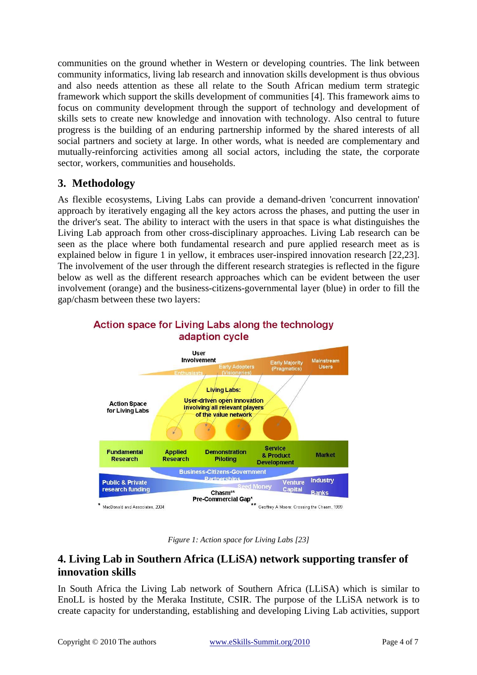communities on the ground whether in Western or developing countries. The link between community informatics, living lab research and innovation skills development is thus obvious and also needs attention as these all relate to the South African medium term strategic framework which support the skills development of communities [4]. This framework aims to focus on community development through the support of technology and development of skills sets to create new knowledge and innovation with technology. Also central to future progress is the building of an enduring partnership informed by the shared interests of all social partners and society at large. In other words, what is needed are complementary and mutually-reinforcing activities among all social actors, including the state, the corporate sector, workers, communities and households.

## **3. Methodology**

As flexible ecosystems, Living Labs can provide a demand-driven 'concurrent innovation' approach by iteratively engaging all the key actors across the phases, and putting the user in the driver's seat. The ability to interact with the users in that space is what distinguishes the Living Lab approach from other cross-disciplinary approaches. Living Lab research can be seen as the place where both fundamental research and pure applied research meet as is explained below in figure 1 in yellow, it embraces user-inspired innovation research [22,23]. The involvement of the user through the different research strategies is reflected in the figure below as well as the different research approaches which can be evident between the user involvement (orange) and the business-citizens-governmental layer (blue) in order to fill the gap/chasm between these two layers:



#### Action space for Living Labs along the technology adaption cycle

*Figure 1: Action space for Living Labs [23]*

## **4. Living Lab in Southern Africa (LLiSA) network supporting transfer of innovation skills**

In South Africa the Living Lab network of Southern Africa (LLiSA) which is similar to EnoLL is hosted by the Meraka Institute, CSIR. The purpose of the LLiSA network is to create capacity for understanding, establishing and developing Living Lab activities, support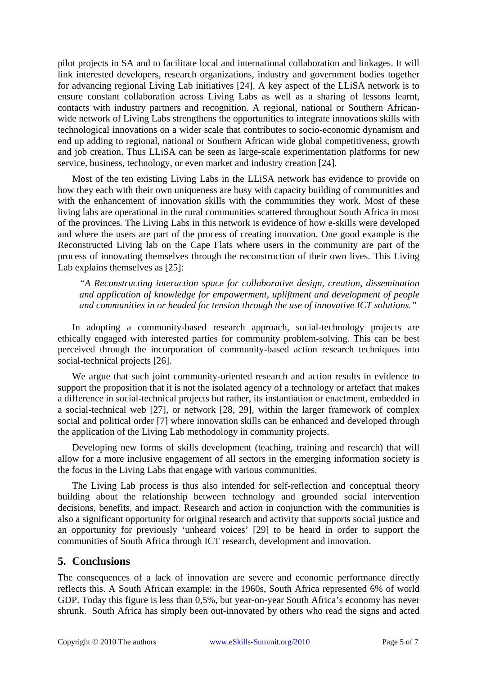pilot projects in SA and to facilitate local and international collaboration and linkages. It will link interested developers, research organizations, industry and government bodies together for advancing regional Living Lab initiatives [24]. A key aspect of the LLiSA network is to ensure constant collaboration across Living Labs as well as a sharing of lessons learnt, contacts with industry partners and recognition. A regional, national or Southern Africanwide network of Living Labs strengthens the opportunities to integrate innovations skills with technological innovations on a wider scale that contributes to socio-economic dynamism and end up adding to regional, national or Southern African wide global competitiveness, growth and job creation. Thus LLiSA can be seen as large-scale experimentation platforms for new service, business, technology, or even market and industry creation [24].

Most of the ten existing Living Labs in the LLiSA network has evidence to provide on how they each with their own uniqueness are busy with capacity building of communities and with the enhancement of innovation skills with the communities they work. Most of these living labs are operational in the rural communities scattered throughout South Africa in most of the provinces. The Living Labs in this network is evidence of how e-skills were developed and where the users are part of the process of creating innovation. One good example is the Reconstructed Living lab on the Cape Flats where users in the community are part of the process of innovating themselves through the reconstruction of their own lives. This Living Lab explains themselves as [25]:

*"A Reconstructing interaction space for collaborative design, creation, dissemination and application of knowledge for empowerment, upliftment and development of people and communities in or headed for tension through the use of innovative ICT solutions."* 

In adopting a community-based research approach, social-technology projects are ethically engaged with interested parties for community problem-solving. This can be best perceived through the incorporation of community-based action research techniques into social-technical projects [26].

We argue that such joint community-oriented research and action results in evidence to support the proposition that it is not the isolated agency of a technology or artefact that makes a difference in social-technical projects but rather, its instantiation or enactment, embedded in a social-technical web [27], or network [28, 29], within the larger framework of complex social and political order [7] where innovation skills can be enhanced and developed through the application of the Living Lab methodology in community projects.

Developing new forms of skills development (teaching, training and research) that will allow for a more inclusive engagement of all sectors in the emerging information society is the focus in the Living Labs that engage with various communities.

The Living Lab process is thus also intended for self-reflection and conceptual theory building about the relationship between technology and grounded social intervention decisions, benefits, and impact. Research and action in conjunction with the communities is also a significant opportunity for original research and activity that supports social justice and an opportunity for previously 'unheard voices' [29] to be heard in order to support the communities of South Africa through ICT research, development and innovation.

### **5. Conclusions**

The consequences of a lack of innovation are severe and economic performance directly reflects this. A South African example: in the 1960s, South Africa represented 6% of world GDP. Today this figure is less than 0,5%, but year-on-year South Africa's economy has never shrunk. South Africa has simply been out-innovated by others who read the signs and acted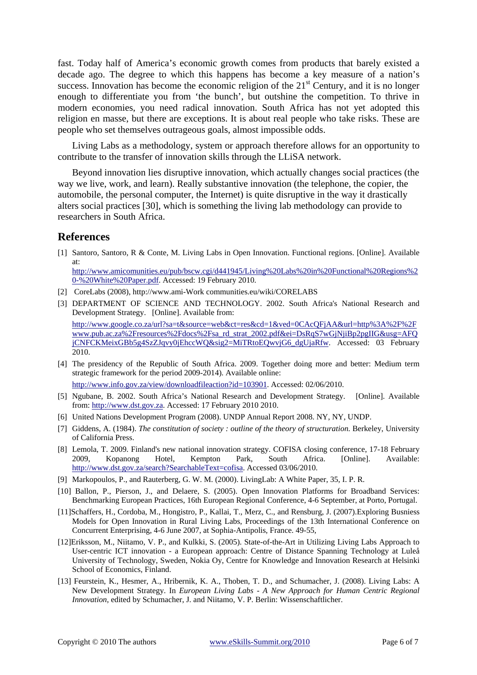fast. Today half of America's economic growth comes from products that barely existed a decade ago. The degree to which this happens has become a key measure of a nation's success. Innovation has become the economic religion of the  $21<sup>st</sup>$  Century, and it is no longer enough to differentiate you from 'the bunch', but outshine the competition. To thrive in modern economies, you need radical innovation. South Africa has not yet adopted this religion en masse, but there are exceptions. It is about real people who take risks. These are people who set themselves outrageous goals, almost impossible odds.

Living Labs as a methodology, system or approach therefore allows for an opportunity to contribute to the transfer of innovation skills through the LLiSA network.

Beyond innovation lies disruptive innovation, which actually changes social practices (the way we live, work, and learn). Really substantive innovation (the telephone, the copier, the automobile, the personal computer, the Internet) is quite disruptive in the way it drastically alters social practices [30], which is something the living lab methodology can provide to researchers in South Africa.

#### **References**

[1] Santoro, Santoro, R & Conte, M. Living Labs in Open Innovation. Functional regions. [Online]. Available at:

[http://www.amicomunities.eu/pub/bscw.cgi/d441945/Living%20Labs%20in%20Functional%20Regions%2](http://www.amicomunities.eu/pub/bscw.cgi/d441945/Living Labs in Functional Regions - White Paper.pdf) [0-%20White%20Paper.pdf](http://www.amicomunities.eu/pub/bscw.cgi/d441945/Living Labs in Functional Regions - White Paper.pdf). Accessed: 19 February 2010.

- [2] CoreLabs (2008), http://www.ami-Work communities.eu/wiki/CORELABS
- [3] DEPARTMENT OF SCIENCE AND TECHNOLOGY. 2002. South Africa's National Research and Development Strategy. [Online]. Available from: [http://www.google.co.za/url?sa=t&source=web&ct=res&cd=1&ved=0CAcQFjAA&url=http%3A%2F%2F](http://www.google.co.za/url?sa=t&source=web&ct=res&cd=1&ved=0CAcQFjAA&url=http%3A%2F%2Fwww.pub.ac.za%2Fresources%2Fdocs%2Fsa_rd_strat_2002.pdf&ei=DsRqS7wGjNjiBp2pgIIG&usg=AFQjCNFCKMeixGBb5g4SzZJqvy0jEhccWQ&sig2=MiTRtoEQwvjG6_dgUjaRfw) [www.pub.ac.za%2Fresources%2Fdocs%2Fsa\\_rd\\_strat\\_2002.pdf&ei=DsRqS7wGjNjiBp2pgIIG&usg=AFQ](http://www.google.co.za/url?sa=t&source=web&ct=res&cd=1&ved=0CAcQFjAA&url=http%3A%2F%2Fwww.pub.ac.za%2Fresources%2Fdocs%2Fsa_rd_strat_2002.pdf&ei=DsRqS7wGjNjiBp2pgIIG&usg=AFQjCNFCKMeixGBb5g4SzZJqvy0jEhccWQ&sig2=MiTRtoEQwvjG6_dgUjaRfw) [jCNFCKMeixGBb5g4SzZJqvy0jEhccWQ&sig2=MiTRtoEQwvjG6\\_dgUjaRfw](http://www.google.co.za/url?sa=t&source=web&ct=res&cd=1&ved=0CAcQFjAA&url=http%3A%2F%2Fwww.pub.ac.za%2Fresources%2Fdocs%2Fsa_rd_strat_2002.pdf&ei=DsRqS7wGjNjiBp2pgIIG&usg=AFQjCNFCKMeixGBb5g4SzZJqvy0jEhccWQ&sig2=MiTRtoEQwvjG6_dgUjaRfw). Accessed: 03 February 2010.
- [4] The presidency of the Republic of South Africa. 2009. Together doing more and better: Medium term strategic framework for the period 2009-2014). Available online: <http://www.info.gov.za/view/downloadfileaction?id=103901>. Accessed: 02/06/2010.
- [5] Ngubane, B. 2002. South Africa's National Research and Development Strategy. [Online]. Available from: [http://www.dst.gov.za](http://www.dst.gov.za/). Accessed: 17 February 2010 2010.
- [6] United Nations Development Program (2008). UNDP Annual Report 2008. NY, NY, UNDP.
- [7] Giddens, A. (1984). *The constitution of society : outline of the theory of structuration*. Berkeley, University of California Press.
- [8] Lemola, T. 2009. Finland's new national innovation strategy. COFISA closing conference, 17-18 February 2009, Kopanong Hotel, Kempton Park, South Africa. [Online]. Available: <http://www.dst.gov.za/search?SearchableText=cofisa>. Accessed 03/06/2010.
- [9] Markopoulos, P., and Rauterberg, G. W. M. (2000). LivingLab: A White Paper, 35, I. P. R.
- [10] Ballon, P., Pierson, J., and Delaere, S. (2005). Open Innovation Platforms for Broadband Services: Benchmarking European Practices, 16th European Regional Conference, 4-6 September, at Porto, Portugal.
- [11]Schaffers, H., Cordoba, M., Hongistro, P., Kallai, T., Merz, C., and Rensburg, J. (2007).Exploring Busniess Models for Open Innovation in Rural Living Labs, Proceedings of the 13th International Conference on Concurrent Enterprising, 4-6 June 2007, at Sophia-Antipolis, France. 49-55,
- [12]Eriksson, M., Niitamo, V. P., and Kulkki, S. (2005). State-of-the-Art in Utilizing Living Labs Approach to User-centric ICT innovation - a European approach: Centre of Distance Spanning Technology at Luleå University of Technology, Sweden, Nokia Oy, Centre for Knowledge and Innovation Research at Helsinki School of Economics, Finland.
- [13] Feurstein, K., Hesmer, A., Hribernik, K. A., Thoben, T. D., and Schumacher, J. (2008). Living Labs: A New Development Strategy. In *European Living Labs - A New Approach for Human Centric Regional Innovation*, edited by Schumacher, J. and Niitamo, V. P. Berlin: Wissenschaftlicher.